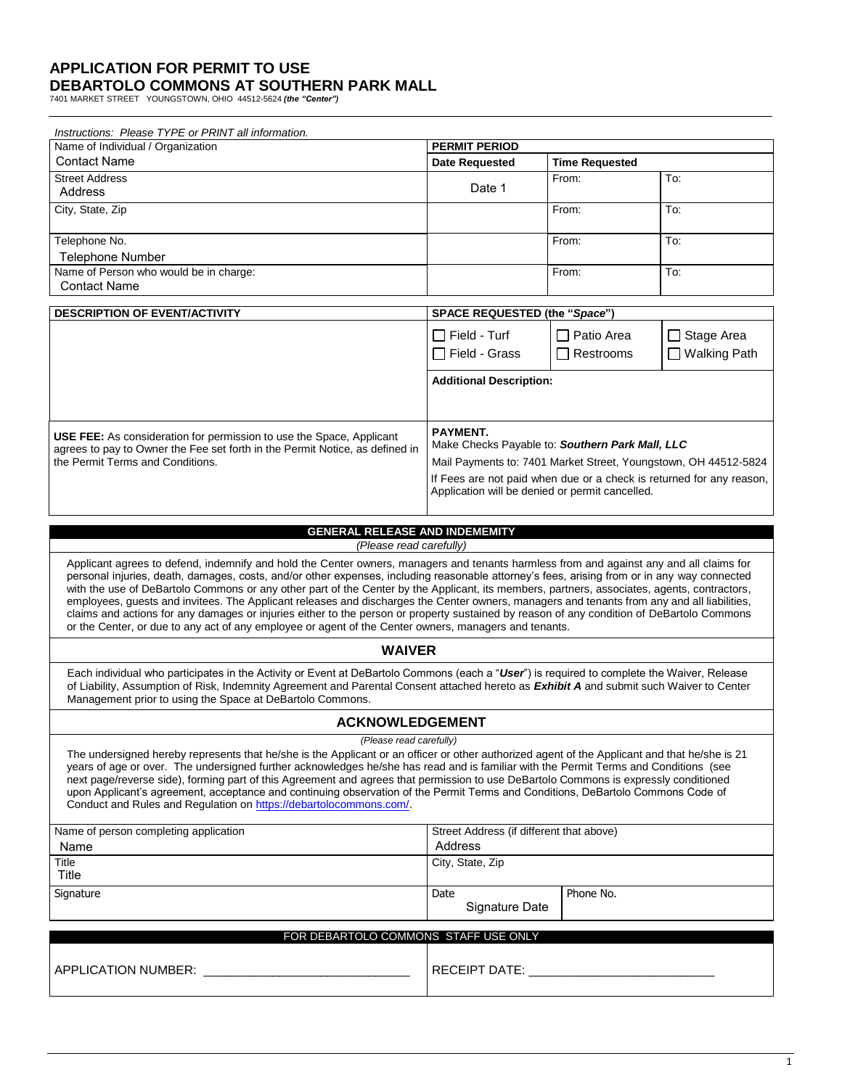## **APPLICATION FOR PERMIT TO USE DEBARTOLO COMMONS AT SOUTHERN PARK MALL** 7401 MARKET STREET YOUNGSTOWN, OHIO 44512-5624 *(the "Center")*

| Instructions: Please TYPE or PRINT all information.                                                                                                                                                                                                                                                                                                                                                                                                                                                                                                                                                                                                                                                                                                                                                                                        |                                                                                                                                                                                                                                                           |                               |                |  |  |  |  |
|--------------------------------------------------------------------------------------------------------------------------------------------------------------------------------------------------------------------------------------------------------------------------------------------------------------------------------------------------------------------------------------------------------------------------------------------------------------------------------------------------------------------------------------------------------------------------------------------------------------------------------------------------------------------------------------------------------------------------------------------------------------------------------------------------------------------------------------------|-----------------------------------------------------------------------------------------------------------------------------------------------------------------------------------------------------------------------------------------------------------|-------------------------------|----------------|--|--|--|--|
| Name of Individual / Organization                                                                                                                                                                                                                                                                                                                                                                                                                                                                                                                                                                                                                                                                                                                                                                                                          | <b>PERMIT PERIOD</b>                                                                                                                                                                                                                                      |                               |                |  |  |  |  |
| <b>Contact Name</b>                                                                                                                                                                                                                                                                                                                                                                                                                                                                                                                                                                                                                                                                                                                                                                                                                        | <b>Date Requested</b>                                                                                                                                                                                                                                     | <b>Time Requested</b>         |                |  |  |  |  |
| <b>Street Address</b><br>Address                                                                                                                                                                                                                                                                                                                                                                                                                                                                                                                                                                                                                                                                                                                                                                                                           | Date 1                                                                                                                                                                                                                                                    | From:                         | To:            |  |  |  |  |
| City, State, Zip                                                                                                                                                                                                                                                                                                                                                                                                                                                                                                                                                                                                                                                                                                                                                                                                                           |                                                                                                                                                                                                                                                           | From:                         | To:            |  |  |  |  |
| Telephone No.<br><b>Telephone Number</b>                                                                                                                                                                                                                                                                                                                                                                                                                                                                                                                                                                                                                                                                                                                                                                                                   |                                                                                                                                                                                                                                                           | From:                         | To:            |  |  |  |  |
| Name of Person who would be in charge:                                                                                                                                                                                                                                                                                                                                                                                                                                                                                                                                                                                                                                                                                                                                                                                                     |                                                                                                                                                                                                                                                           | From:                         | To:            |  |  |  |  |
| <b>Contact Name</b>                                                                                                                                                                                                                                                                                                                                                                                                                                                                                                                                                                                                                                                                                                                                                                                                                        |                                                                                                                                                                                                                                                           |                               |                |  |  |  |  |
| DESCRIPTION OF EVENT/ACTIVITY                                                                                                                                                                                                                                                                                                                                                                                                                                                                                                                                                                                                                                                                                                                                                                                                              |                                                                                                                                                                                                                                                           | SPACE REQUESTED (the "Space") |                |  |  |  |  |
|                                                                                                                                                                                                                                                                                                                                                                                                                                                                                                                                                                                                                                                                                                                                                                                                                                            | $\Box$ Field - Turf                                                                                                                                                                                                                                       | □ Patio Area                  | Stage Area     |  |  |  |  |
|                                                                                                                                                                                                                                                                                                                                                                                                                                                                                                                                                                                                                                                                                                                                                                                                                                            | □ Field - Grass                                                                                                                                                                                                                                           | Restrooms                     | □ Walking Path |  |  |  |  |
|                                                                                                                                                                                                                                                                                                                                                                                                                                                                                                                                                                                                                                                                                                                                                                                                                                            |                                                                                                                                                                                                                                                           |                               |                |  |  |  |  |
|                                                                                                                                                                                                                                                                                                                                                                                                                                                                                                                                                                                                                                                                                                                                                                                                                                            | <b>Additional Description:</b>                                                                                                                                                                                                                            |                               |                |  |  |  |  |
| <b>USE FEE:</b> As consideration for permission to use the Space, Applicant<br>agrees to pay to Owner the Fee set forth in the Permit Notice, as defined in<br>the Permit Terms and Conditions.                                                                                                                                                                                                                                                                                                                                                                                                                                                                                                                                                                                                                                            | PAYMENT.<br>Make Checks Payable to: Southern Park Mall, LLC<br>Mail Payments to: 7401 Market Street, Youngstown, OH 44512-5824<br>If Fees are not paid when due or a check is returned for any reason,<br>Application will be denied or permit cancelled. |                               |                |  |  |  |  |
| <b>GENERAL RELEASE AND INDEMEMITY</b>                                                                                                                                                                                                                                                                                                                                                                                                                                                                                                                                                                                                                                                                                                                                                                                                      |                                                                                                                                                                                                                                                           |                               |                |  |  |  |  |
| (Please read carefully)                                                                                                                                                                                                                                                                                                                                                                                                                                                                                                                                                                                                                                                                                                                                                                                                                    |                                                                                                                                                                                                                                                           |                               |                |  |  |  |  |
| Applicant agrees to defend, indemnify and hold the Center owners, managers and tenants harmless from and against any and all claims for<br>personal injuries, death, damages, costs, and/or other expenses, including reasonable attorney's fees, arising from or in any way connected<br>with the use of DeBartolo Commons or any other part of the Center by the Applicant, its members, partners, associates, agents, contractors,<br>employees, guests and invitees. The Applicant releases and discharges the Center owners, managers and tenants from any and all liabilities,<br>claims and actions for any damages or injuries either to the person or property sustained by reason of any condition of DeBartolo Commons<br>or the Center, or due to any act of any employee or agent of the Center owners, managers and tenants. |                                                                                                                                                                                                                                                           |                               |                |  |  |  |  |
| <b>WAIVER</b>                                                                                                                                                                                                                                                                                                                                                                                                                                                                                                                                                                                                                                                                                                                                                                                                                              |                                                                                                                                                                                                                                                           |                               |                |  |  |  |  |
| Each individual who participates in the Activity or Event at DeBartolo Commons (each a "User") is required to complete the Waiver, Release<br>of Liability, Assumption of Risk, Indemnity Agreement and Parental Consent attached hereto as Exhibit A and submit such Waiver to Center<br>Management prior to using the Space at DeBartolo Commons.                                                                                                                                                                                                                                                                                                                                                                                                                                                                                        |                                                                                                                                                                                                                                                           |                               |                |  |  |  |  |
| <b>ACKNOWLEDGEMENT</b>                                                                                                                                                                                                                                                                                                                                                                                                                                                                                                                                                                                                                                                                                                                                                                                                                     |                                                                                                                                                                                                                                                           |                               |                |  |  |  |  |
| (Please read carefully)<br>The undersigned hereby represents that he/she is the Applicant or an officer or other authorized agent of the Applicant and that he/she is 21<br>years of age or over. The undersigned further acknowledges he/she has read and is familiar with the Permit Terms and Conditions (see<br>next page/reverse side), forming part of this Agreement and agrees that permission to use DeBartolo Commons is expressly conditioned<br>upon Applicant's agreement, acceptance and continuing observation of the Permit Terms and Conditions, DeBartolo Commons Code of<br>Conduct and Rules and Regulation on https://debartolocommons.com/.                                                                                                                                                                          |                                                                                                                                                                                                                                                           |                               |                |  |  |  |  |
| Name of person completing application<br>Name                                                                                                                                                                                                                                                                                                                                                                                                                                                                                                                                                                                                                                                                                                                                                                                              | Street Address (if different that above)<br>Address                                                                                                                                                                                                       |                               |                |  |  |  |  |
| Title<br>Title                                                                                                                                                                                                                                                                                                                                                                                                                                                                                                                                                                                                                                                                                                                                                                                                                             | City, State, Zip                                                                                                                                                                                                                                          |                               |                |  |  |  |  |
| Signature                                                                                                                                                                                                                                                                                                                                                                                                                                                                                                                                                                                                                                                                                                                                                                                                                                  | Date                                                                                                                                                                                                                                                      | Phone No.                     |                |  |  |  |  |
|                                                                                                                                                                                                                                                                                                                                                                                                                                                                                                                                                                                                                                                                                                                                                                                                                                            | Signature Date                                                                                                                                                                                                                                            |                               |                |  |  |  |  |
| FOR DEBARTOLO COMMONS STAFF USE ONLY                                                                                                                                                                                                                                                                                                                                                                                                                                                                                                                                                                                                                                                                                                                                                                                                       |                                                                                                                                                                                                                                                           |                               |                |  |  |  |  |
| APPLICATION NUMBER:                                                                                                                                                                                                                                                                                                                                                                                                                                                                                                                                                                                                                                                                                                                                                                                                                        | RECEIPT DATE:                                                                                                                                                                                                                                             |                               |                |  |  |  |  |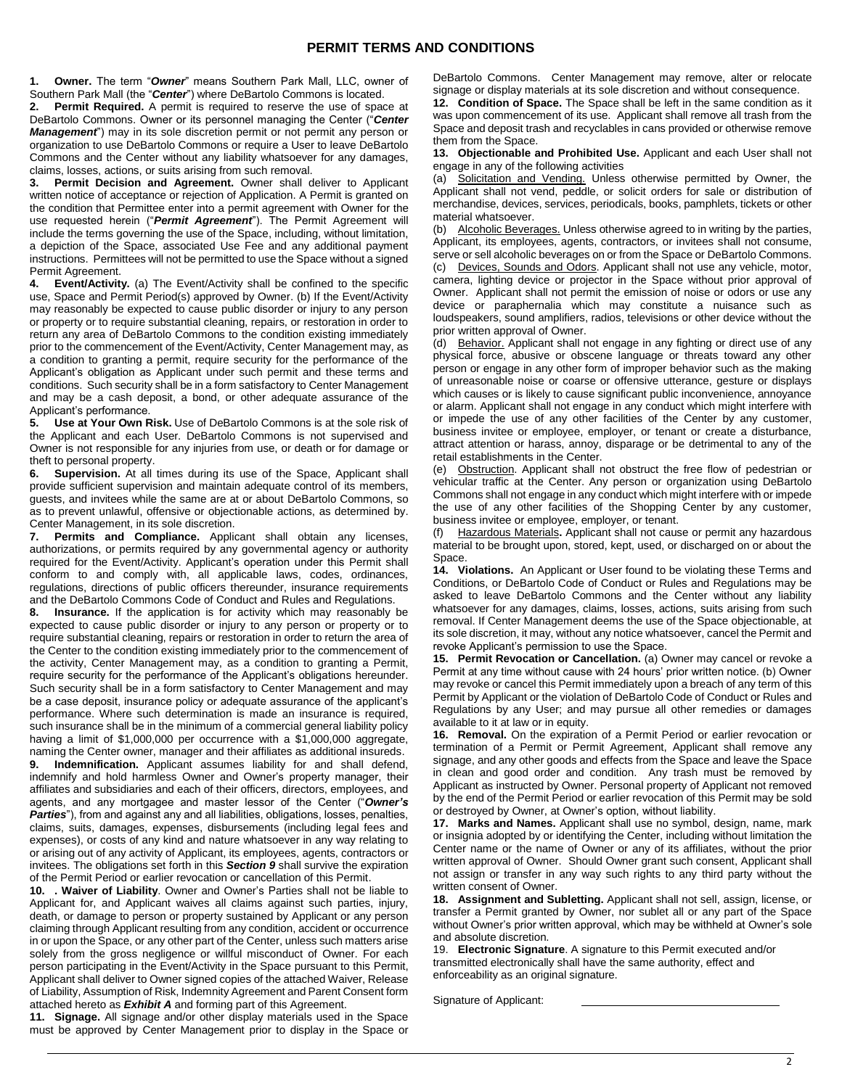**1. Owner.** The term "*Owner*" means Southern Park Mall, LLC, owner of Southern Park Mall (the "*Center*") where DeBartolo Commons is located.

**2. Permit Required.** A permit is required to reserve the use of space at DeBartolo Commons. Owner or its personnel managing the Center ("*Center Management*") may in its sole discretion permit or not permit any person or organization to use DeBartolo Commons or require a User to leave DeBartolo Commons and the Center without any liability whatsoever for any damages, claims, losses, actions, or suits arising from such removal.

**3. Permit Decision and Agreement.** Owner shall deliver to Applicant written notice of acceptance or rejection of Application. A Permit is granted on the condition that Permittee enter into a permit agreement with Owner for the use requested herein ("*Permit Agreement*"). The Permit Agreement will include the terms governing the use of the Space, including, without limitation, a depiction of the Space, associated Use Fee and any additional payment instructions. Permittees will not be permitted to use the Space without a signed Permit Agreement.<br>4. Event/Activity

**Event/Activity.** (a) The Event/Activity shall be confined to the specific use, Space and Permit Period(s) approved by Owner. (b) If the Event/Activity may reasonably be expected to cause public disorder or injury to any person or property or to require substantial cleaning, repairs, or restoration in order to return any area of DeBartolo Commons to the condition existing immediately prior to the commencement of the Event/Activity, Center Management may, as a condition to granting a permit, require security for the performance of the Applicant's obligation as Applicant under such permit and these terms and conditions. Such security shall be in a form satisfactory to Center Management and may be a cash deposit, a bond, or other adequate assurance of the Applicant's performance.

**5. Use at Your Own Risk.** Use of DeBartolo Commons is at the sole risk of the Applicant and each User. DeBartolo Commons is not supervised and Owner is not responsible for any injuries from use, or death or for damage or theft to personal property.

**6. Supervision.** At all times during its use of the Space, Applicant shall provide sufficient supervision and maintain adequate control of its members, guests, and invitees while the same are at or about DeBartolo Commons, so as to prevent unlawful, offensive or objectionable actions, as determined by. Center Management, in its sole discretion.

**7. Permits and Compliance.** Applicant shall obtain any licenses, authorizations, or permits required by any governmental agency or authority required for the Event/Activity. Applicant's operation under this Permit shall conform to and comply with, all applicable laws, codes, ordinances, regulations, directions of public officers thereunder, insurance requirements and the DeBartolo Commons Code of Conduct and Rules and Regulations.

**8. Insurance.** If the application is for activity which may reasonably be expected to cause public disorder or injury to any person or property or to require substantial cleaning, repairs or restoration in order to return the area of the Center to the condition existing immediately prior to the commencement of the activity, Center Management may, as a condition to granting a Permit, require security for the performance of the Applicant's obligations hereunder. Such security shall be in a form satisfactory to Center Management and may be a case deposit, insurance policy or adequate assurance of the applicant's performance. Where such determination is made an insurance is required, such insurance shall be in the minimum of a commercial general liability policy having a limit of \$1,000,000 per occurrence with a \$1,000,000 aggregate, naming the Center owner, manager and their affiliates as additional insureds.

**9. Indemnification.** Applicant assumes liability for and shall defend, indemnify and hold harmless Owner and Owner's property manager, their affiliates and subsidiaries and each of their officers, directors, employees, and agents, and any mortgagee and master lessor of the Center ("*Owner's Parties*"), from and against any and all liabilities, obligations, losses, penalties, claims, suits, damages, expenses, disbursements (including legal fees and expenses), or costs of any kind and nature whatsoever in any way relating to or arising out of any activity of Applicant, its employees, agents, contractors or invitees. The obligations set forth in this *Section 9* shall survive the expiration of the Permit Period or earlier revocation or cancellation of this Permit.

**10. . Waiver of Liability**. Owner and Owner's Parties shall not be liable to Applicant for, and Applicant waives all claims against such parties, injury, death, or damage to person or property sustained by Applicant or any person claiming through Applicant resulting from any condition, accident or occurrence in or upon the Space, or any other part of the Center, unless such matters arise solely from the gross negligence or willful misconduct of Owner. For each person participating in the Event/Activity in the Space pursuant to this Permit, Applicant shall deliver to Owner signed copies of the attached Waiver, Release of Liability, Assumption of Risk, Indemnity Agreement and Parent Consent form attached hereto as *Exhibit A* and forming part of this Agreement.

**11. Signage.** All signage and/or other display materials used in the Space must be approved by Center Management prior to display in the Space or

DeBartolo Commons. Center Management may remove, alter or relocate signage or display materials at its sole discretion and without consequence.

**12. Condition of Space.** The Space shall be left in the same condition as it was upon commencement of its use. Applicant shall remove all trash from the Space and deposit trash and recyclables in cans provided or otherwise remove them from the Space.

**13. Objectionable and Prohibited Use.** Applicant and each User shall not engage in any of the following activities

(a) Solicitation and Vending. Unless otherwise permitted by Owner, the Applicant shall not vend, peddle, or solicit orders for sale or distribution of merchandise, devices, services, periodicals, books, pamphlets, tickets or other material whatsoever.

(b) Alcoholic Beverages. Unless otherwise agreed to in writing by the parties, Applicant, its employees, agents, contractors, or invitees shall not consume, serve or sell alcoholic beverages on or from the Space or DeBartolo Commons.

(c) Devices, Sounds and Odors. Applicant shall not use any vehicle, motor, camera, lighting device or projector in the Space without prior approval of Owner. Applicant shall not permit the emission of noise or odors or use any device or paraphernalia which may constitute a nuisance such as loudspeakers, sound amplifiers, radios, televisions or other device without the prior written approval of Owner.

(d) Behavior. Applicant shall not engage in any fighting or direct use of any physical force, abusive or obscene language or threats toward any other person or engage in any other form of improper behavior such as the making of unreasonable noise or coarse or offensive utterance, gesture or displays which causes or is likely to cause significant public inconvenience, annoyance or alarm. Applicant shall not engage in any conduct which might interfere with or impede the use of any other facilities of the Center by any customer, business invitee or employee, employer, or tenant or create a disturbance, attract attention or harass, annoy, disparage or be detrimental to any of the retail establishments in the Center.

(e) Obstruction. Applicant shall not obstruct the free flow of pedestrian or vehicular traffic at the Center. Any person or organization using DeBartolo Commons shall not engage in any conduct which might interfere with or impede the use of any other facilities of the Shopping Center by any customer, business invitee or employee, employer, or tenant.

(f) Hazardous Materials**.** Applicant shall not cause or permit any hazardous material to be brought upon, stored, kept, used, or discharged on or about the Space.

**14. Violations.** An Applicant or User found to be violating these Terms and Conditions, or DeBartolo Code of Conduct or Rules and Regulations may be asked to leave DeBartolo Commons and the Center without any liability whatsoever for any damages, claims, losses, actions, suits arising from such removal. If Center Management deems the use of the Space objectionable, at its sole discretion, it may, without any notice whatsoever, cancel the Permit and revoke Applicant's permission to use the Space.

**15. Permit Revocation or Cancellation.** (a) Owner may cancel or revoke a Permit at any time without cause with 24 hours' prior written notice. (b) Owner may revoke or cancel this Permit immediately upon a breach of any term of this Permit by Applicant or the violation of DeBartolo Code of Conduct or Rules and Regulations by any User; and may pursue all other remedies or damages available to it at law or in equity.

**16. Removal.** On the expiration of a Permit Period or earlier revocation or termination of a Permit or Permit Agreement, Applicant shall remove any signage, and any other goods and effects from the Space and leave the Space in clean and good order and condition. Any trash must be removed by Applicant as instructed by Owner. Personal property of Applicant not removed by the end of the Permit Period or earlier revocation of this Permit may be sold or destroyed by Owner, at Owner's option, without liability.

**17. Marks and Names.** Applicant shall use no symbol, design, name, mark or insignia adopted by or identifying the Center, including without limitation the Center name or the name of Owner or any of its affiliates, without the prior written approval of Owner. Should Owner grant such consent, Applicant shall not assign or transfer in any way such rights to any third party without the written consent of Owner.

**18. Assignment and Subletting.** Applicant shall not sell, assign, license, or transfer a Permit granted by Owner, nor sublet all or any part of the Space without Owner's prior written approval, which may be withheld at Owner's sole and absolute discretion.

19. **Electronic Signature**. A signature to this Permit executed and/or transmitted electronically shall have the same authority, effect and enforceability as an original signature.

Signature of Applicant: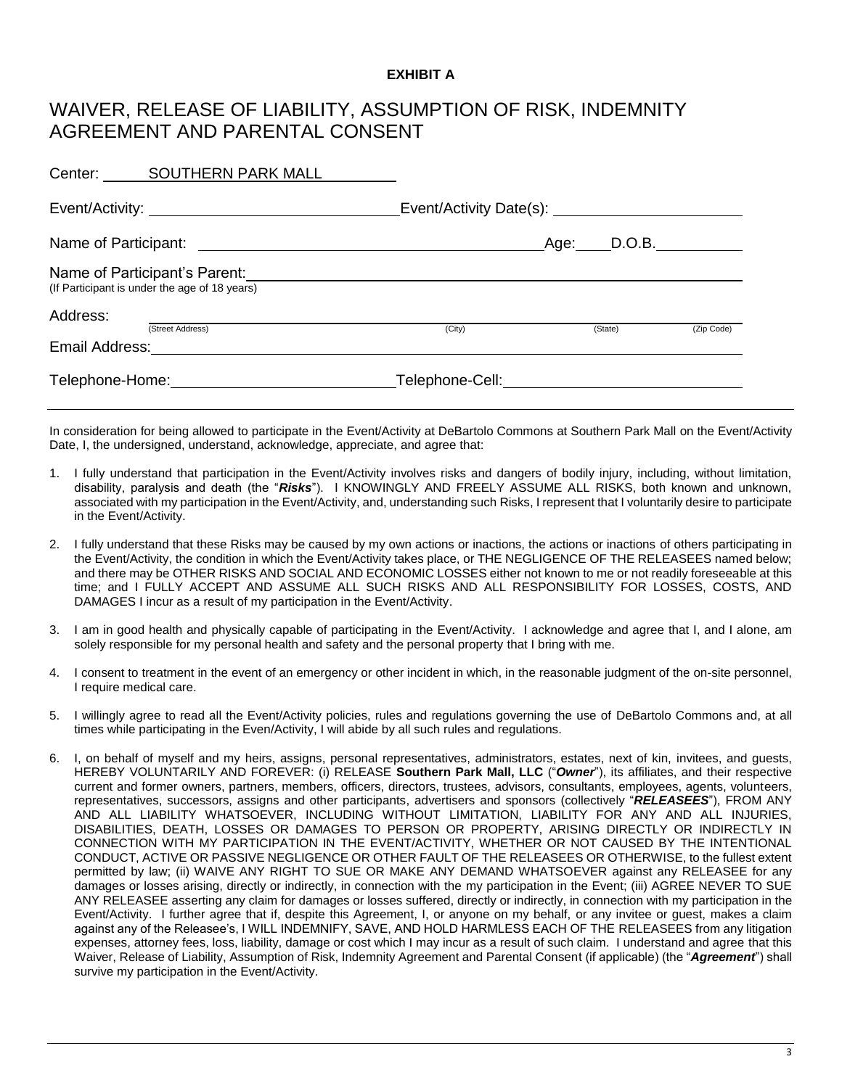## **EXHIBIT A**

## WAIVER, RELEASE OF LIABILITY, ASSUMPTION OF RISK, INDEMNITY AGREEMENT AND PARENTAL CONSENT

|                                               | Center: SOUTHERN PARK MALL                                  |        |      |         |            |  |  |
|-----------------------------------------------|-------------------------------------------------------------|--------|------|---------|------------|--|--|
|                                               | Event/Activity: __________________________________          |        |      |         |            |  |  |
| Name of Participant:                          | <u> 1980 - Andrea Andrew Maria (h. 1980).</u>               |        | Age: |         | D.O.B.     |  |  |
| (If Participant is under the age of 18 years) | Name of Participant's Parent: Name of Participant's Parent: |        |      |         |            |  |  |
| Address:                                      | (Street Address)                                            | (City) |      | (State) | (Zip Code) |  |  |
| Email Address:                                |                                                             |        |      |         |            |  |  |
| Telephone-Home: Telephone-Home:               |                                                             |        |      |         |            |  |  |

In consideration for being allowed to participate in the Event/Activity at DeBartolo Commons at Southern Park Mall on the Event/Activity Date, I, the undersigned, understand, acknowledge, appreciate, and agree that:

- 1. I fully understand that participation in the Event/Activity involves risks and dangers of bodily injury, including, without limitation, disability, paralysis and death (the "*Risks*"). I KNOWINGLY AND FREELY ASSUME ALL RISKS, both known and unknown, associated with my participation in the Event/Activity, and, understanding such Risks, I represent that I voluntarily desire to participate in the Event/Activity.
- 2. I fully understand that these Risks may be caused by my own actions or inactions, the actions or inactions of others participating in the Event/Activity, the condition in which the Event/Activity takes place, or THE NEGLIGENCE OF THE RELEASEES named below; and there may be OTHER RISKS AND SOCIAL AND ECONOMIC LOSSES either not known to me or not readily foreseeable at this time; and I FULLY ACCEPT AND ASSUME ALL SUCH RISKS AND ALL RESPONSIBILITY FOR LOSSES, COSTS, AND DAMAGES I incur as a result of my participation in the Event/Activity.
- 3. I am in good health and physically capable of participating in the Event/Activity. I acknowledge and agree that I, and I alone, am solely responsible for my personal health and safety and the personal property that I bring with me.
- 4. I consent to treatment in the event of an emergency or other incident in which, in the reasonable judgment of the on-site personnel, I require medical care.
- 5. I willingly agree to read all the Event/Activity policies, rules and regulations governing the use of DeBartolo Commons and, at all times while participating in the Even/Activity, I will abide by all such rules and regulations.
- 6. I, on behalf of myself and my heirs, assigns, personal representatives, administrators, estates, next of kin, invitees, and guests, HEREBY VOLUNTARILY AND FOREVER: (i) RELEASE **Southern Park Mall, LLC** ("*Owner*"), its affiliates, and their respective current and former owners, partners, members, officers, directors, trustees, advisors, consultants, employees, agents, volunteers, representatives, successors, assigns and other participants, advertisers and sponsors (collectively "*RELEASEES*"), FROM ANY AND ALL LIABILITY WHATSOEVER, INCLUDING WITHOUT LIMITATION, LIABILITY FOR ANY AND ALL INJURIES, DISABILITIES, DEATH, LOSSES OR DAMAGES TO PERSON OR PROPERTY, ARISING DIRECTLY OR INDIRECTLY IN CONNECTION WITH MY PARTICIPATION IN THE EVENT/ACTIVITY, WHETHER OR NOT CAUSED BY THE INTENTIONAL CONDUCT, ACTIVE OR PASSIVE NEGLIGENCE OR OTHER FAULT OF THE RELEASEES OR OTHERWISE, to the fullest extent permitted by law; (ii) WAIVE ANY RIGHT TO SUE OR MAKE ANY DEMAND WHATSOEVER against any RELEASEE for any damages or losses arising, directly or indirectly, in connection with the my participation in the Event; (iii) AGREE NEVER TO SUE ANY RELEASEE asserting any claim for damages or losses suffered, directly or indirectly, in connection with my participation in the Event/Activity. I further agree that if, despite this Agreement, I, or anyone on my behalf, or any invitee or guest, makes a claim against any of the Releasee's, I WILL INDEMNIFY, SAVE, AND HOLD HARMLESS EACH OF THE RELEASEES from any litigation expenses, attorney fees, loss, liability, damage or cost which I may incur as a result of such claim. I understand and agree that this Waiver, Release of Liability, Assumption of Risk, Indemnity Agreement and Parental Consent (if applicable) (the "*Agreement*") shall survive my participation in the Event/Activity.